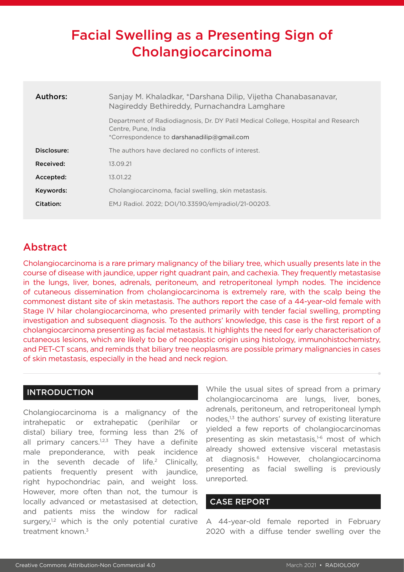# Facial Swelling as a Presenting Sign of Cholangiocarcinoma

| Authors:    | Sanjay M. Khaladkar, *Darshana Dilip, Vijetha Chanabasanavar,<br>Nagireddy Bethireddy, Purnachandra Lamghare                                           |
|-------------|--------------------------------------------------------------------------------------------------------------------------------------------------------|
|             | Department of Radiodiagnosis, Dr. DY Patil Medical College, Hospital and Research<br>Centre, Pune, India<br>*Correspondence to darshanadilip@gmail.com |
| Disclosure: | The authors have declared no conflicts of interest.                                                                                                    |
| Received:   | 13.09.21                                                                                                                                               |
| Accepted:   | 13.01.22                                                                                                                                               |
| Keywords:   | Cholangiocarcinoma, facial swelling, skin metastasis.                                                                                                  |
| Citation:   | EMJ Radiol. 2022; DOI/10.33590/emjradiol/21-00203.                                                                                                     |

# Abstract

Cholangiocarcinoma is a rare primary malignancy of the biliary tree, which usually presents late in the course of disease with jaundice, upper right quadrant pain, and cachexia. They frequently metastasise in the lungs, liver, bones, adrenals, peritoneum, and retroperitoneal lymph nodes. The incidence of cutaneous dissemination from cholangiocarcinoma is extremely rare, with the scalp being the commonest distant site of skin metastasis. The authors report the case of a 44-year-old female with Stage IV hilar cholangiocarcinoma, who presented primarily with tender facial swelling, prompting investigation and subsequent diagnosis. To the authors' knowledge, this case is the first report of a cholangiocarcinoma presenting as facial metastasis. It highlights the need for early characterisation of cutaneous lesions, which are likely to be of neoplastic origin using histology, immunohistochemistry, and PET-CT scans, and reminds that biliary tree neoplasms are possible primary malignancies in cases of skin metastasis, especially in the head and neck region.

# **INTRODUCTION**

Cholangiocarcinoma is a malignancy of the intrahepatic or extrahepatic (perihilar or distal) biliary tree, forming less than 2% of all primary cancers.<sup>1,2,3</sup> They have a definite male preponderance, with peak incidence in the seventh decade of  $life^2$  Clinically, patients frequently present with jaundice, right hypochondriac pain, and weight loss. However, more often than not, the tumour is locally advanced or metastasised at detection, and patients miss the window for radical surgery, $1,2$  which is the only potential curative treatment known.<sup>3</sup>

While the usual sites of spread from a primary cholangiocarcinoma are lungs, liver, bones, adrenals, peritoneum, and retroperitoneal lymph nodes,<sup>1,3</sup> the authors' survey of existing literature yielded a few reports of cholangiocarcinomas presenting as skin metastasis,<sup>1-6</sup> most of which already showed extensive visceral metastasis at diagnosis.6 However, cholangiocarcinoma presenting as facial swelling is previously unreported.

## CASE REPORT

A 44-year-old female reported in February 2020 with a diffuse tender swelling over the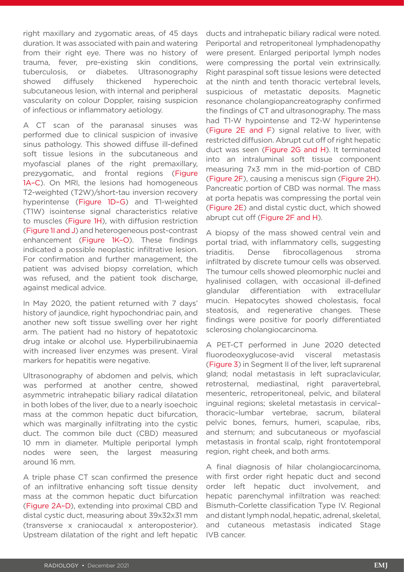right maxillary and zygomatic areas, of 45 days duration. It was associated with pain and watering from their right eye. There was no history of trauma, fever, pre-existing skin conditions, tuberculosis, or diabetes. Ultrasonography showed diffusely thickened hyperechoic subcutaneous lesion, with internal and peripheral vascularity on colour Doppler, raising suspicion of infectious or inflammatory aetiology.

A CT scan of the paranasal sinuses was performed due to clinical suspicion of invasive sinus pathology. This showed diffuse ill-defined soft tissue lesions in the subcutaneous and myofascial planes of the right premaxillary, prezygomatic, and frontal regions (Figure 1A–C). On MRI, the lesions had homogeneous T2-weighted (T2W)/short-tau inversion recovery hyperintense (Figure 1D–G) and T1-weighted (T1W) isointense signal characteristics relative to muscles (Figure 1H), with diffusion restriction (Figure 1I and J) and heterogeneous post-contrast enhancement (Figure 1K–O). These findings indicated a possible neoplastic infiltrative lesion. For confirmation and further management, the patient was advised biopsy correlation, which was refused, and the patient took discharge, against medical advice.

In May 2020, the patient returned with 7 days' history of jaundice, right hypochondriac pain, and another new soft tissue swelling over her right arm. The patient had no history of hepatotoxic drug intake or alcohol use. Hyperbilirubinaemia with increased liver enzymes was present. Viral markers for hepatitis were negative.

Ultrasonography of abdomen and pelvis, which was performed at another centre, showed asymmetric intrahepatic biliary radical dilatation in both lobes of the liver, due to a nearly isoechoic mass at the common hepatic duct bifurcation, which was marginally infiltrating into the cystic duct. The common bile duct (CBD) measured 10 mm in diameter. Multiple periportal lymph nodes were seen, the largest measuring around 16 mm.

A triple phase CT scan confirmed the presence of an infiltrative enhancing soft tissue density mass at the common hepatic duct bifurcation (Figure 2A–D), extending into proximal CBD and distal cystic duct, measuring about 39x32x31 mm (transverse x craniocaudal x anteroposterior). Upstream dilatation of the right and left hepatic ducts and intrahepatic biliary radical were noted. Periportal and retroperitoneal lymphadenopathy were present. Enlarged periportal lymph nodes were compressing the portal vein extrinsically. Right paraspinal soft tissue lesions were detected at the ninth and tenth thoracic vertebral levels, suspicious of metastatic deposits. Magnetic resonance cholangiopancreatography confirmed the findings of CT and ultrasonography. The mass had T1-W hypointense and T2-W hyperintense (Figure 2E and F) signal relative to liver, with restricted diffusion. Abrupt cut off of right hepatic duct was seen (Figure 2G and H). It terminated into an intraluminal soft tissue component measuring 7x3 mm in the mid-portion of CBD (Figure 2F), causing a meniscus sign (Figure 2H). Pancreatic portion of CBD was normal. The mass at porta hepatis was compressing the portal vein (Figure 2E) and distal cystic duct, which showed abrupt cut off (Figure 2F and H).

A biopsy of the mass showed central vein and portal triad, with inflammatory cells, suggesting triaditis. Dense fibrocollagenous stroma infiltrated by discrete tumour cells was observed. The tumour cells showed pleomorphic nuclei and hyalinised collagen, with occasional ill-defined glandular differentiation with extracellular mucin. Hepatocytes showed cholestasis, focal steatosis, and regenerative changes. These findings were positive for poorly differentiated sclerosing cholangiocarcinoma.

A PET-CT performed in June 2020 detected fluorodeoxyglucose-avid visceral metastasis (Figure 3) in Segment II of the liver, left suprarenal gland; nodal metastasis in left supraclavicular, retrosternal, mediastinal, right paravertebral, mesenteric, retroperitoneal, pelvic, and bilateral inguinal regions; skeletal metastasis in cervical– thoracic–lumbar vertebrae, sacrum, bilateral pelvic bones, femurs, humeri, scapulae, ribs, and sternum; and subcutaneous or myofascial metastasis in frontal scalp, right frontotemporal region, right cheek, and both arms.

A final diagnosis of hilar cholangiocarcinoma, with first order right hepatic duct and second order left hepatic duct involvement, and hepatic parenchymal infiltration was reached: Bismuth-Corlette classification Type IV. Regional and distant lymph nodal, hepatic, adrenal, skeletal, and cutaneous metastasis indicated Stage IVB cancer.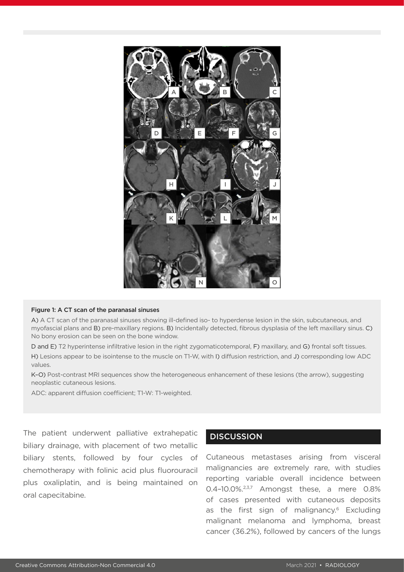

#### Figure 1: A CT scan of the paranasal sinuses

A) A CT scan of the paranasal sinuses showing ill-defined iso- to hyperdense lesion in the skin, subcutaneous, and myofascial plans and B) pre-maxillary regions. B) Incidentally detected, fibrous dysplasia of the left maxillary sinus. C) No bony erosion can be seen on the bone window.

D and E) T2 hyperintense infiltrative lesion in the right zygomaticotemporal, F) maxillary, and G) frontal soft tissues. H) Lesions appear to be isointense to the muscle on T1-W, with I) diffusion restriction, and J) corresponding low ADC values.

K–O) Post-contrast MRI sequences show the heterogeneous enhancement of these lesions (the arrow), suggesting neoplastic cutaneous lesions.

ADC: apparent diffusion coefficient; T1-W: T1-weighted.

The patient underwent palliative extrahepatic biliary drainage, with placement of two metallic biliary stents, followed by four cycles of chemotherapy with folinic acid plus fluorouracil plus oxaliplatin, and is being maintained on oral capecitabine.

# **DISCUSSION**

Cutaneous metastases arising from visceral malignancies are extremely rare, with studies reporting variable overall incidence between 0.4-10.0%<sup>2,3,7</sup> Amongst these, a mere 0.8% of cases presented with cutaneous deposits as the first sign of malignancy.<sup>6</sup> Excluding malignant melanoma and lymphoma, breast cancer (36.2%), followed by cancers of the lungs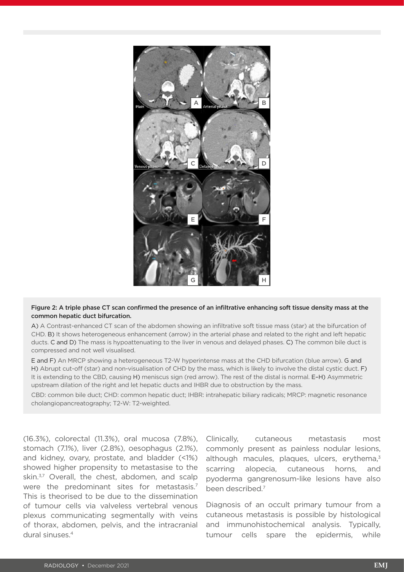

#### Figure 2: A triple phase CT scan confirmed the presence of an infiltrative enhancing soft tissue density mass at the common hepatic duct bifurcation.

A) A Contrast-enhanced CT scan of the abdomen showing an infiltrative soft tissue mass (star) at the bifurcation of CHD. B) It shows heterogeneous enhancement (arrow) in the arterial phase and related to the right and left hepatic ducts. C and D) The mass is hypoattenuating to the liver in venous and delayed phases. C) The common bile duct is compressed and not well visualised.

E and F) An MRCP showing a heterogeneous T2-W hyperintense mass at the CHD bifurcation (blue arrow). G and H) Abrupt cut-off (star) and non-visualisation of CHD by the mass, which is likely to involve the distal cystic duct. F) It is extending to the CBD, causing H) meniscus sign (red arrow). The rest of the distal is normal. E-H) Asymmetric upstream dilation of the right and let hepatic ducts and IHBR due to obstruction by the mass.

CBD: common bile duct; CHD: common hepatic duct; IHBR: intrahepatic biliary radicals; MRCP: magnetic resonance cholangiopancreatography; T2-W: T2-weighted.

(16.3%), colorectal (11.3%), oral mucosa (7.8%), stomach (7.1%), liver (2.8%), oesophagus (2.1%), and kidney, ovary, prostate, and bladder (<1%) showed higher propensity to metastasise to the skin.<sup>3,7</sup> Overall, the chest, abdomen, and scalp were the predominant sites for metastasis.<sup>7</sup> This is theorised to be due to the dissemination of tumour cells via valveless vertebral venous plexus communicating segmentally with veins of thorax, abdomen, pelvis, and the intracranial dural sinuses.4

Clinically, cutaneous metastasis most commonly present as painless nodular lesions, although macules, plaques, ulcers, erythema, $3\overline{ }$ scarring alopecia, cutaneous horns, and pyoderma gangrenosum-like lesions have also been described.7

Diagnosis of an occult primary tumour from a cutaneous metastasis is possible by histological and immunohistochemical analysis. Typically, tumour cells spare the epidermis, while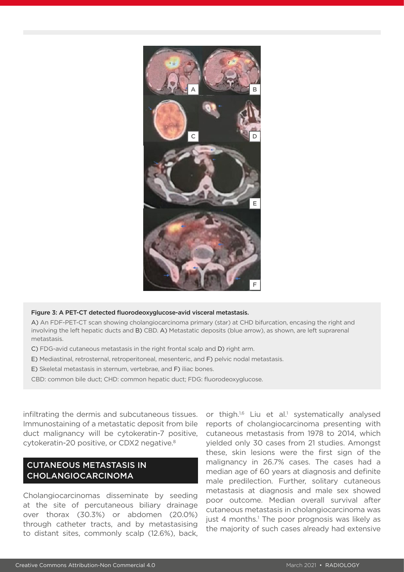

#### Figure 3: A PET-CT detected fluorodeoxyglucose-avid visceral metastasis.

A) An FDF-PET-CT scan showing cholangiocarcinoma primary (star) at CHD bifurcation, encasing the right and involving the left hepatic ducts and B) CBD. A) Metastatic deposits (blue arrow), as shown, are left suprarenal metastasis.

- C) FDG-avid cutaneous metastasis in the right frontal scalp and D) right arm.
- E) Mediastinal, retrosternal, retroperitoneal, mesenteric, and F) pelvic nodal metastasis.

E) Skeletal metastasis in sternum, vertebrae, and F) iliac bones.

CBD: common bile duct; CHD: common hepatic duct; FDG: fluorodeoxyglucose.

infiltrating the dermis and subcutaneous tissues. Immunostaining of a metastatic deposit from bile duct malignancy will be cytokeratin-7 positive, cytokeratin-20 positive, or CDX2 negative.<sup>8</sup>

# CUTANEOUS METASTASIS IN CHOLANGIOCARCINOMA

Cholangiocarcinomas disseminate by seeding at the site of percutaneous biliary drainage over thorax (30.3%) or abdomen (20.0%) through catheter tracts, and by metastasising to distant sites, commonly scalp (12.6%), back, or thigh.<sup>1,6</sup> Liu et al.<sup>1</sup> systematically analysed reports of cholangiocarcinoma presenting with cutaneous metastasis from 1978 to 2014, which yielded only 30 cases from 21 studies. Amongst these, skin lesions were the first sign of the malignancy in 26.7% cases. The cases had a median age of 60 years at diagnosis and definite male predilection. Further, solitary cutaneous metastasis at diagnosis and male sex showed poor outcome. Median overall survival after cutaneous metastasis in cholangiocarcinoma was just 4 months.<sup>1</sup> The poor prognosis was likely as the majority of such cases already had extensive